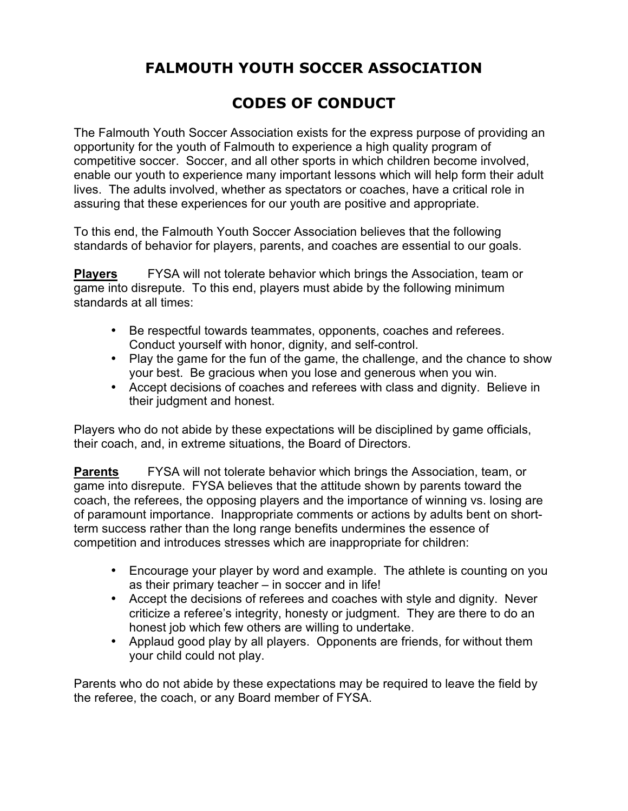# **FALMOUTH YOUTH SOCCER ASSOCIATION**

# **CODES OF CONDUCT**

The Falmouth Youth Soccer Association exists for the express purpose of providing an opportunity for the youth of Falmouth to experience a high quality program of competitive soccer. Soccer, and all other sports in which children become involved, enable our youth to experience many important lessons which will help form their adult lives. The adults involved, whether as spectators or coaches, have a critical role in assuring that these experiences for our youth are positive and appropriate.

To this end, the Falmouth Youth Soccer Association believes that the following standards of behavior for players, parents, and coaches are essential to our goals.

**Players** FYSA will not tolerate behavior which brings the Association, team or game into disrepute. To this end, players must abide by the following minimum standards at all times:

- Be respectful towards teammates, opponents, coaches and referees. Conduct yourself with honor, dignity, and self-control.
- Play the game for the fun of the game, the challenge, and the chance to show your best. Be gracious when you lose and generous when you win.
- Accept decisions of coaches and referees with class and dignity. Believe in their judgment and honest.

Players who do not abide by these expectations will be disciplined by game officials, their coach, and, in extreme situations, the Board of Directors.

**Parents** FYSA will not tolerate behavior which brings the Association, team, or game into disrepute. FYSA believes that the attitude shown by parents toward the coach, the referees, the opposing players and the importance of winning vs. losing are of paramount importance. Inappropriate comments or actions by adults bent on shortterm success rather than the long range benefits undermines the essence of competition and introduces stresses which are inappropriate for children:

- Encourage your player by word and example. The athlete is counting on you as their primary teacher – in soccer and in life!
- Accept the decisions of referees and coaches with style and dignity. Never criticize a referee's integrity, honesty or judgment. They are there to do an honest job which few others are willing to undertake.
- Applaud good play by all players. Opponents are friends, for without them your child could not play.

Parents who do not abide by these expectations may be required to leave the field by the referee, the coach, or any Board member of FYSA.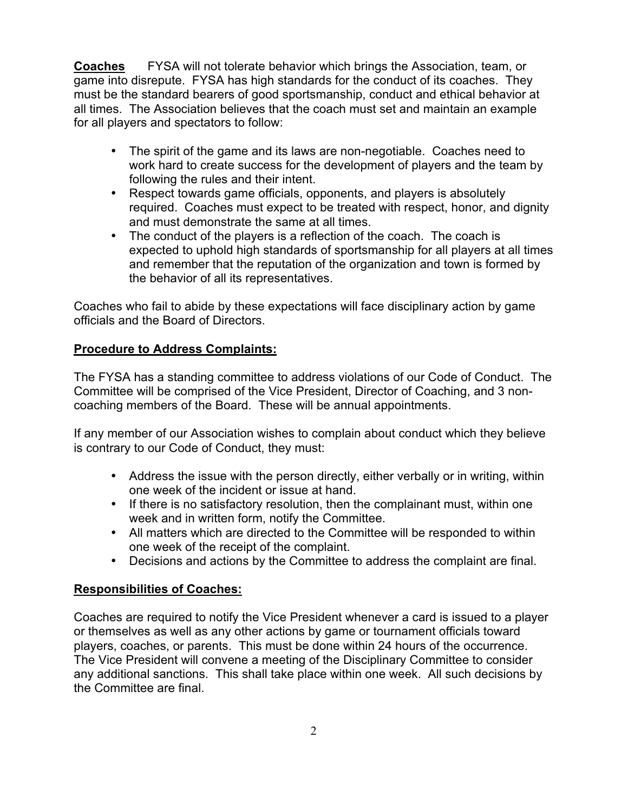**Coaches** FYSA will not tolerate behavior which brings the Association, team, or game into disrepute. FYSA has high standards for the conduct of its coaches. They must be the standard bearers of good sportsmanship, conduct and ethical behavior at all times. The Association believes that the coach must set and maintain an example for all players and spectators to follow:

- The spirit of the game and its laws are non-negotiable. Coaches need to work hard to create success for the development of players and the team by following the rules and their intent.
- Respect towards game officials, opponents, and players is absolutely required. Coaches must expect to be treated with respect, honor, and dignity and must demonstrate the same at all times.
- The conduct of the players is a reflection of the coach. The coach is expected to uphold high standards of sportsmanship for all players at all times and remember that the reputation of the organization and town is formed by the behavior of all its representatives.

Coaches who fail to abide by these expectations will face disciplinary action by game officials and the Board of Directors.

## **Procedure to Address Complaints:**

The FYSA has a standing committee to address violations of our Code of Conduct. The Committee will be comprised of the Vice President, Director of Coaching, and 3 noncoaching members of the Board. These will be annual appointments.

If any member of our Association wishes to complain about conduct which they believe is contrary to our Code of Conduct, they must:

- Address the issue with the person directly, either verbally or in writing, within one week of the incident or issue at hand.
- If there is no satisfactory resolution, then the complainant must, within one week and in written form, notify the Committee.
- All matters which are directed to the Committee will be responded to within one week of the receipt of the complaint.
- Decisions and actions by the Committee to address the complaint are final.

#### **Responsibilities of Coaches:**

Coaches are required to notify the Vice President whenever a card is issued to a player or themselves as well as any other actions by game or tournament officials toward players, coaches, or parents. This must be done within 24 hours of the occurrence. The Vice President will convene a meeting of the Disciplinary Committee to consider any additional sanctions. This shall take place within one week. All such decisions by the Committee are final.